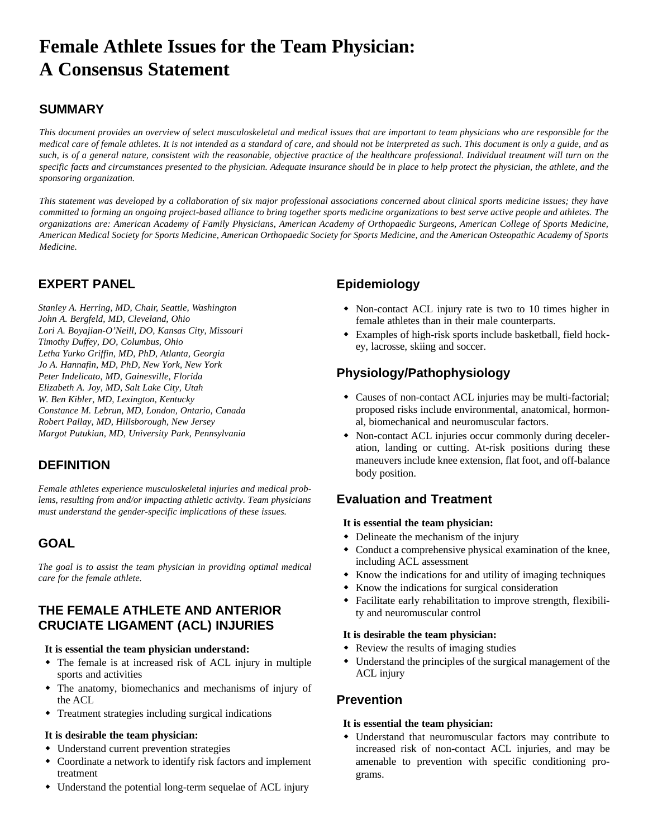# **Female Athlete Issues for the Team Physician: A Consensus Statement**

# **SUMMARY**

*This document provides an overview of select musculoskeletal and medical issues that are important to team physicians who are responsible for the medical care of female athletes. It is not intended as a standard of care, and should not be interpreted as such. This document is only a guide, and as such, is of a general nature, consistent with the reasonable, objective practice of the healthcare professional. Individual treatment will turn on the specific facts and circumstances presented to the physician. Adequate insurance should be in place to help protect the physician, the athlete, and the sponsoring organization.*

*This statement was developed by a collaboration of six major professional associations concerned about clinical sports medicine issues; they have committed to forming an ongoing project-based alliance to bring together sports medicine organizations to best serve active people and athletes. The organizations are: American Academy of Family Physicians, American Academy of Orthopaedic Surgeons, American College of Sports Medicine, American Medical Society for Sports Medicine, American Orthopaedic Society for Sports Medicine, and the American Osteopathic Academy of Sports Medicine.* 

# **EXPERT PANEL**

*Stanley A. Herring, MD, Chair, Seattle, Washington John A. Bergfeld, MD, Cleveland, Ohio Lori A. Boyajian-O'Neill, DO, Kansas City, Missouri Timothy Duffey, DO, Columbus, Ohio Letha Yurko Griffin, MD, PhD, Atlanta, Georgia Jo A. Hannafin, MD, PhD, New York, New York Peter Indelicato, MD, Gainesville, Florida Elizabeth A. Joy, MD, Salt Lake City, Utah W. Ben Kibler, MD, Lexington, Kentucky Constance M. Lebrun, MD, London, Ontario, Canada Robert Pallay, MD, Hillsborough, New Jersey Margot Putukian, MD, University Park, Pennsylvania*

# **DEFINITION**

*Female athletes experience musculoskeletal injuries and medical problems, resulting from and/or impacting athletic activity. Team physicians must understand the gender-specific implications of these issues.*

# **GOAL**

*The goal is to assist the team physician in providing optimal medical care for the female athlete.*

# **THE FEMALE ATHLETE AND ANTERIOR CRUCIATE LIGAMENT (ACL) INJURIES**

#### **It is essential the team physician understand:**

- The female is at increased risk of ACL injury in multiple sports and activities
- The anatomy, biomechanics and mechanisms of injury of the ACL
- Treatment strategies including surgical indications

#### **It is desirable the team physician:**

- Understand current prevention strategies
- Coordinate a network to identify risk factors and implement treatment
- Understand the potential long-term sequelae of ACL injury

# **Epidemiology**

- Non-contact ACL injury rate is two to 10 times higher in female athletes than in their male counterparts.
- Examples of high-risk sports include basketball, field hockey, lacrosse, skiing and soccer.

# **Physiology/Pathophysiology**

- Causes of non-contact ACL injuries may be multi-factorial; proposed risks include environmental, anatomical, hormonal, biomechanical and neuromuscular factors.
- Non-contact ACL injuries occur commonly during deceleration, landing or cutting. At-risk positions during these maneuvers include knee extension, flat foot, and off-balance body position.

# **Evaluation and Treatment**

#### **It is essential the team physician:**

- $\bullet$  Delineate the mechanism of the injury
- Conduct a comprehensive physical examination of the knee, including ACL assessment
- $\bullet$  Know the indications for and utility of imaging techniques
- $\bullet$  Know the indications for surgical consideration
- Facilitate early rehabilitation to improve strength, flexibility and neuromuscular control

#### **It is desirable the team physician:**

- Review the results of imaging studies
- Understand the principles of the surgical management of the ACL injury

#### **Prevention**

#### **It is essential the team physician:**

• Understand that neuromuscular factors may contribute to increased risk of non-contact ACL injuries, and may be amenable to prevention with specific conditioning programs.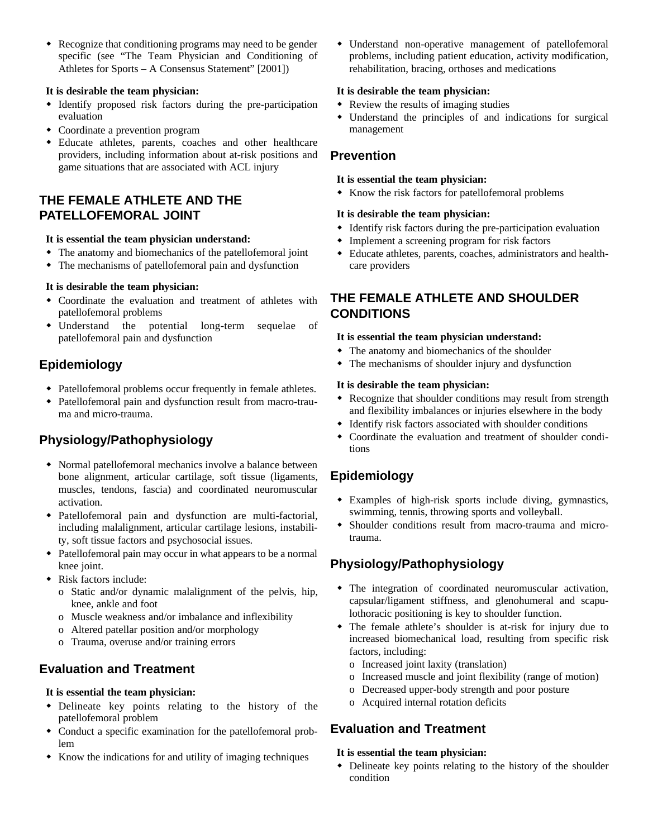$\bullet$  Recognize that conditioning programs may need to be gender specific (see "The Team Physician and Conditioning of Athletes for Sports – A Consensus Statement" [2001])

#### **It is desirable the team physician:**

- Identify proposed risk factors during the pre-participation evaluation
- $\bullet$  Coordinate a prevention program
- w Educate athletes, parents, coaches and other healthcare providers, including information about at-risk positions and game situations that are associated with ACL injury

# **THE FEMALE ATHLETE AND THE PATELLOFEMORAL JOINT**

### **It is essential the team physician understand:**

- $\bullet$  The anatomy and biomechanics of the patellofemoral joint
- $\bullet$  The mechanisms of patellofemoral pain and dysfunction

# **It is desirable the team physician:**

- Coordinate the evaluation and treatment of athletes with patellofemoral problems
- Understand the potential long-term sequelae of patellofemoral pain and dysfunction

# **Epidemiology**

- Patellofemoral problems occur frequently in female athletes.
- w Patellofemoral pain and dysfunction result from macro-trauma and micro-trauma.

# **Physiology/Pathophysiology**

- Normal patellofemoral mechanics involve a balance between bone alignment, articular cartilage, soft tissue (ligaments, muscles, tendons, fascia) and coordinated neuromuscular activation.
- w Patellofemoral pain and dysfunction are multi-factorial, including malalignment, articular cartilage lesions, instability, soft tissue factors and psychosocial issues.
- Patellofemoral pain may occur in what appears to be a normal knee joint.
- Risk factors include:
	- o Static and/or dynamic malalignment of the pelvis, hip, knee, ankle and foot
	- o Muscle weakness and/or imbalance and inflexibility
	- o Altered patellar position and/or morphology
	- o Trauma, overuse and/or training errors

# **Evaluation and Treatment**

# **It is essential the team physician:**

- $\bullet$  Delineate key points relating to the history of the patellofemoral problem
- Conduct a specific examination for the patellofemoral problem
- $\bullet$  Know the indications for and utility of imaging techniques

• Understand non-operative management of patellofemoral problems, including patient education, activity modification, rehabilitation, bracing, orthoses and medications

# **It is desirable the team physician:**

- Review the results of imaging studies
- $\bullet$  Understand the principles of and indications for surgical management

# **Prevention**

#### **It is essential the team physician:**

• Know the risk factors for patellofemoral problems

### **It is desirable the team physician:**

- $\bullet$  Identify risk factors during the pre-participation evaluation
- Implement a screening program for risk factors
- w Educate athletes, parents, coaches, administrators and healthcare providers

# **THE FEMALE ATHLETE AND SHOULDER CONDITIONS**

# **It is essential the team physician understand:**

- The anatomy and biomechanics of the shoulder
- $\bullet$  The mechanisms of shoulder injury and dysfunction

### **It is desirable the team physician:**

- $\bullet$  Recognize that shoulder conditions may result from strength and flexibility imbalances or injuries elsewhere in the body
- $\bullet$  Identify risk factors associated with shoulder conditions
- Coordinate the evaluation and treatment of shoulder conditions

# **Epidemiology**

- Examples of high-risk sports include diving, gymnastics, swimming, tennis, throwing sports and volleyball.
- Shoulder conditions result from macro-trauma and microtrauma.

# **Physiology/Pathophysiology**

- $\bullet$  The integration of coordinated neuromuscular activation, capsular/ligament stiffness, and glenohumeral and scapulothoracic positioning is key to shoulder function.
- The female athlete's shoulder is at-risk for injury due to increased biomechanical load, resulting from specific risk factors, including:
	- o Increased joint laxity (translation)
	- o Increased muscle and joint flexibility (range of motion)
	- o Decreased upper-body strength and poor posture
	- o Acquired internal rotation deficits

# **Evaluation and Treatment**

### **It is essential the team physician:**

• Delineate key points relating to the history of the shoulder condition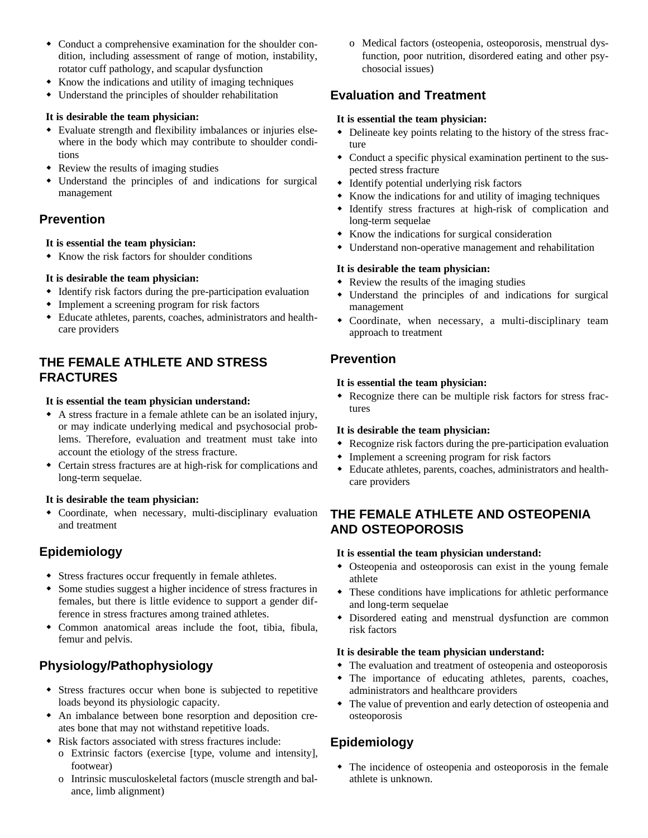- Conduct a comprehensive examination for the shoulder condition, including assessment of range of motion, instability, rotator cuff pathology, and scapular dysfunction
- Know the indications and utility of imaging techniques
- $\bullet$  Understand the principles of shoulder rehabilitation

#### **It is desirable the team physician:**

- $\bullet$  Evaluate strength and flexibility imbalances or injuries elsewhere in the body which may contribute to shoulder conditions
- Review the results of imaging studies
- $\bullet$  Understand the principles of and indications for surgical management

### **Prevention**

#### **It is essential the team physician:**

• Know the risk factors for shoulder conditions

#### **It is desirable the team physician:**

- Identify risk factors during the pre-participation evaluation
- $\bullet$  Implement a screening program for risk factors
- w Educate athletes, parents, coaches, administrators and healthcare providers

# **THE FEMALE ATHLETE AND STRESS FRACTURES**

#### **It is essential the team physician understand:**

- w A stress fracture in a female athlete can be an isolated injury, or may indicate underlying medical and psychosocial problems. Therefore, evaluation and treatment must take into account the etiology of the stress fracture.
- Certain stress fractures are at high-risk for complications and long-term sequelae.

#### **It is desirable the team physician:**

Coordinate, when necessary, multi-disciplinary evaluation and treatment

# **Epidemiology**

- Stress fractures occur frequently in female athletes.
- Some studies suggest a higher incidence of stress fractures in females, but there is little evidence to support a gender difference in stress fractures among trained athletes.
- w Common anatomical areas include the foot, tibia, fibula, femur and pelvis.

# **Physiology/Pathophysiology**

- Stress fractures occur when bone is subjected to repetitive loads beyond its physiologic capacity.
- w An imbalance between bone resorption and deposition creates bone that may not withstand repetitive loads.
- Risk factors associated with stress fractures include:
	- o Extrinsic factors (exercise [type, volume and intensity], footwear)
	- o Intrinsic musculoskeletal factors (muscle strength and balance, limb alignment)

o Medical factors (osteopenia, osteoporosis, menstrual dysfunction, poor nutrition, disordered eating and other psychosocial issues)

# **Evaluation and Treatment**

#### **It is essential the team physician:**

- Delineate key points relating to the history of the stress fracture
- Conduct a specific physical examination pertinent to the suspected stress fracture
- Identify potential underlying risk factors
- Know the indications for and utility of imaging techniques
- Identify stress fractures at high-risk of complication and long-term sequelae
- $\bullet$  Know the indications for surgical consideration
- Understand non-operative management and rehabilitation

#### **It is desirable the team physician:**

- $\bullet$  Review the results of the imaging studies
- $\bullet$  Understand the principles of and indications for surgical management
- Coordinate, when necessary, a multi-disciplinary team approach to treatment

# **Prevention**

#### **It is essential the team physician:**

• Recognize there can be multiple risk factors for stress fractures

#### **It is desirable the team physician:**

- $\bullet$  Recognize risk factors during the pre-participation evaluation
- Implement a screening program for risk factors
- w Educate athletes, parents, coaches, administrators and healthcare providers

# **THE FEMALE ATHLETE AND OSTEOPENIA AND OSTEOPOROSIS**

#### **It is essential the team physician understand:**

- Osteopenia and osteoporosis can exist in the young female athlete
- These conditions have implications for athletic performance and long-term sequelae
- w Disordered eating and menstrual dysfunction are common risk factors

#### **It is desirable the team physician understand:**

- The evaluation and treatment of osteopenia and osteoporosis
- The importance of educating athletes, parents, coaches, administrators and healthcare providers
- The value of prevention and early detection of osteopenia and osteoporosis

# **Epidemiology**

• The incidence of osteopenia and osteoporosis in the female athlete is unknown.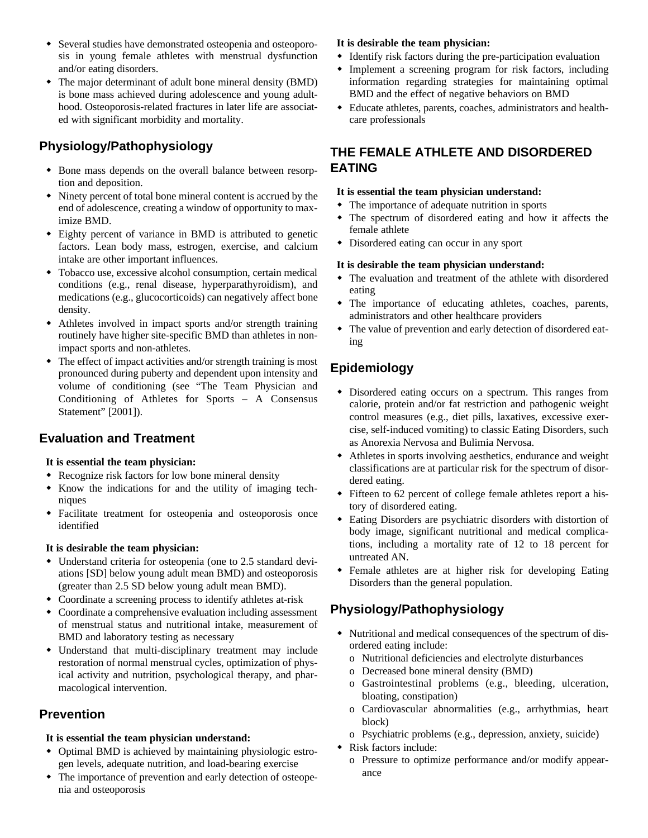- Several studies have demonstrated osteopenia and osteoporosis in young female athletes with menstrual dysfunction and/or eating disorders.
- The major determinant of adult bone mineral density (BMD) is bone mass achieved during adolescence and young adulthood. Osteoporosis-related fractures in later life are associated with significant morbidity and mortality.

# **Physiology/Pathophysiology**

- Bone mass depends on the overall balance between resorption and deposition.
- Ninety percent of total bone mineral content is accrued by the end of adolescence, creating a window of opportunity to maximize BMD.
- Eighty percent of variance in BMD is attributed to genetic factors. Lean body mass, estrogen, exercise, and calcium intake are other important influences.
- Tobacco use, excessive alcohol consumption, certain medical conditions (e.g., renal disease, hyperparathyroidism), and medications (e.g., glucocorticoids) can negatively affect bone density.
- Athletes involved in impact sports and/or strength training routinely have higher site-specific BMD than athletes in nonimpact sports and non-athletes.
- The effect of impact activities and/or strength training is most pronounced during puberty and dependent upon intensity and volume of conditioning (see "The Team Physician and Conditioning of Athletes for Sports – A Consensus Statement" [2001]).

# **Evaluation and Treatment**

#### **It is essential the team physician:**

- Recognize risk factors for low bone mineral density
- Know the indications for and the utility of imaging techniques
- Facilitate treatment for osteopenia and osteoporosis once identified

#### **It is desirable the team physician:**

- $\bullet$  Understand criteria for osteopenia (one to 2.5 standard deviations [SD] below young adult mean BMD) and osteoporosis (greater than 2.5 SD below young adult mean BMD).
- Coordinate a screening process to identify athletes at-risk
- $\bullet$  Coordinate a comprehensive evaluation including assessment of menstrual status and nutritional intake, measurement of BMD and laboratory testing as necessary
- $\bullet$  Understand that multi-disciplinary treatment may include restoration of normal menstrual cycles, optimization of physical activity and nutrition, psychological therapy, and pharmacological intervention.

# **Prevention**

### **It is essential the team physician understand:**

- Optimal BMD is achieved by maintaining physiologic estrogen levels, adequate nutrition, and load-bearing exercise
- The importance of prevention and early detection of osteopenia and osteoporosis

# **It is desirable the team physician:**

- Identify risk factors during the pre-participation evaluation
- $\bullet$  Implement a screening program for risk factors, including information regarding strategies for maintaining optimal BMD and the effect of negative behaviors on BMD
- w Educate athletes, parents, coaches, administrators and healthcare professionals

# **THE FEMALE ATHLETE AND DISORDERED EATING**

### **It is essential the team physician understand:**

- The importance of adequate nutrition in sports
- The spectrum of disordered eating and how it affects the female athlete
- Disordered eating can occur in any sport

# **It is desirable the team physician understand:**

- The evaluation and treatment of the athlete with disordered eating
- The importance of educating athletes, coaches, parents, administrators and other healthcare providers
- The value of prevention and early detection of disordered eating

# **Epidemiology**

- Disordered eating occurs on a spectrum. This ranges from calorie, protein and/or fat restriction and pathogenic weight control measures (e.g., diet pills, laxatives, excessive exercise, self-induced vomiting) to classic Eating Disorders, such as Anorexia Nervosa and Bulimia Nervosa.
- w Athletes in sports involving aesthetics, endurance and weight classifications are at particular risk for the spectrum of disordered eating.
- w Fifteen to 62 percent of college female athletes report a history of disordered eating.
- Eating Disorders are psychiatric disorders with distortion of body image, significant nutritional and medical complications, including a mortality rate of 12 to 18 percent for untreated AN.
- w Female athletes are at higher risk for developing Eating Disorders than the general population.

# **Physiology/Pathophysiology**

- $\bullet$  Nutritional and medical consequences of the spectrum of disordered eating include:
	- o Nutritional deficiencies and electrolyte disturbances
	- o Decreased bone mineral density (BMD)
	- o Gastrointestinal problems (e.g., bleeding, ulceration, bloating, constipation)
	- o Cardiovascular abnormalities (e.g., arrhythmias, heart block)
	- o Psychiatric problems (e.g., depression, anxiety, suicide)
- Risk factors include:
	- o Pressure to optimize performance and/or modify appearance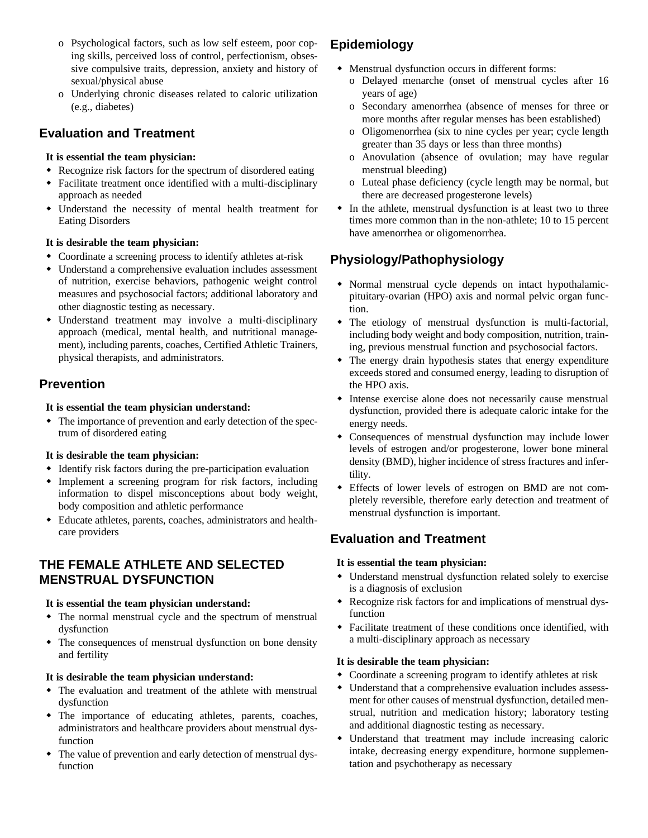- o Psychological factors, such as low self esteem, poor coping skills, perceived loss of control, perfectionism, obsessive compulsive traits, depression, anxiety and history of sexual/physical abuse
- o Underlying chronic diseases related to caloric utilization (e.g., diabetes)

# **Evaluation and Treatment**

#### **It is essential the team physician:**

- Recognize risk factors for the spectrum of disordered eating
- w Facilitate treatment once identified with a multi-disciplinary approach as needed
- Understand the necessity of mental health treatment for Eating Disorders

#### **It is desirable the team physician:**

- Coordinate a screening process to identify athletes at-risk
- Understand a comprehensive evaluation includes assessment of nutrition, exercise behaviors, pathogenic weight control measures and psychosocial factors; additional laboratory and other diagnostic testing as necessary.
- Understand treatment may involve a multi-disciplinary approach (medical, mental health, and nutritional management), including parents, coaches, Certified Athletic Trainers, physical therapists, and administrators.

# **Prevention**

#### **It is essential the team physician understand:**

 $\bullet$  The importance of prevention and early detection of the spectrum of disordered eating

#### **It is desirable the team physician:**

- Identify risk factors during the pre-participation evaluation
- Implement a screening program for risk factors, including information to dispel misconceptions about body weight, body composition and athletic performance
- w Educate athletes, parents, coaches, administrators and healthcare providers

# **THE FEMALE ATHLETE AND SELECTED MENSTRUAL DYSFUNCTION**

#### **It is essential the team physician understand:**

- The normal menstrual cycle and the spectrum of menstrual dysfunction
- $\bullet$  The consequences of menstrual dysfunction on bone density and fertility

#### **It is desirable the team physician understand:**

- The evaluation and treatment of the athlete with menstrual dysfunction
- The importance of educating athletes, parents, coaches, administrators and healthcare providers about menstrual dysfunction
- The value of prevention and early detection of menstrual dysfunction

# **Epidemiology**

- $\bullet$  Menstrual dysfunction occurs in different forms:
	- o Delayed menarche (onset of menstrual cycles after 16 years of age)
	- o Secondary amenorrhea (absence of menses for three or more months after regular menses has been established)
	- o Oligomenorrhea (six to nine cycles per year; cycle length greater than 35 days or less than three months)
	- o Anovulation (absence of ovulation; may have regular menstrual bleeding)
	- o Luteal phase deficiency (cycle length may be normal, but there are decreased progesterone levels)
- In the athlete, menstrual dysfunction is at least two to three times more common than in the non-athlete; 10 to 15 percent have amenorrhea or oligomenorrhea.

# **Physiology/Pathophysiology**

- Normal menstrual cycle depends on intact hypothalamicpituitary-ovarian (HPO) axis and normal pelvic organ function.
- $\bullet$  The etiology of menstrual dysfunction is multi-factorial, including body weight and body composition, nutrition, training, previous menstrual function and psychosocial factors.
- $\bullet$  The energy drain hypothesis states that energy expenditure exceeds stored and consumed energy, leading to disruption of the HPO axis.
- Intense exercise alone does not necessarily cause menstrual dysfunction, provided there is adequate caloric intake for the energy needs.
- Consequences of menstrual dysfunction may include lower levels of estrogen and/or progesterone, lower bone mineral density (BMD), higher incidence of stress fractures and infertility.
- Effects of lower levels of estrogen on BMD are not completely reversible, therefore early detection and treatment of menstrual dysfunction is important.

# **Evaluation and Treatment**

#### **It is essential the team physician:**

- Understand menstrual dysfunction related solely to exercise is a diagnosis of exclusion
- Recognize risk factors for and implications of menstrual dysfunction
- w Facilitate treatment of these conditions once identified, with a multi-disciplinary approach as necessary

#### **It is desirable the team physician:**

- Coordinate a screening program to identify athletes at risk
- $\bullet$  Understand that a comprehensive evaluation includes assessment for other causes of menstrual dysfunction, detailed menstrual, nutrition and medication history; laboratory testing and additional diagnostic testing as necessary.
- $\bullet$  Understand that treatment may include increasing caloric intake, decreasing energy expenditure, hormone supplementation and psychotherapy as necessary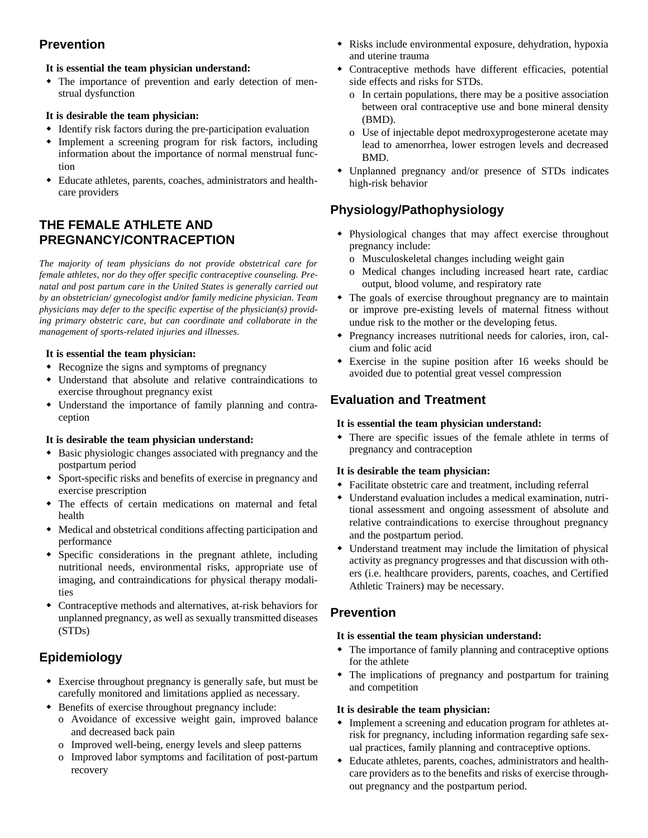# **Prevention**

#### **It is essential the team physician understand:**

• The importance of prevention and early detection of menstrual dysfunction

#### **It is desirable the team physician:**

- $\bullet$  Identify risk factors during the pre-participation evaluation
- $\bullet$  Implement a screening program for risk factors, including information about the importance of normal menstrual function
- w Educate athletes, parents, coaches, administrators and healthcare providers

# **THE FEMALE ATHLETE AND PREGNANCY/CONTRACEPTION**

*The majority of team physicians do not provide obstetrical care for female athletes, nor do they offer specific contraceptive counseling. Prenatal and post partum care in the United States is generally carried out by an obstetrician/ gynecologist and/or family medicine physician. Team physicians may defer to the specific expertise of the physician(s) providing primary obstetric care, but can coordinate and collaborate in the management of sports-related injuries and illnesses.*

### **It is essential the team physician:**

- Recognize the signs and symptoms of pregnancy
- Understand that absolute and relative contraindications to exercise throughout pregnancy exist
- Understand the importance of family planning and contraception

# **It is desirable the team physician understand:**

- $\bullet$  Basic physiologic changes associated with pregnancy and the postpartum period
- Sport-specific risks and benefits of exercise in pregnancy and exercise prescription
- The effects of certain medications on maternal and fetal health
- w Medical and obstetrical conditions affecting participation and performance
- Specific considerations in the pregnant athlete, including nutritional needs, environmental risks, appropriate use of imaging, and contraindications for physical therapy modalities
- Contraceptive methods and alternatives, at-risk behaviors for unplanned pregnancy, as well as sexually transmitted diseases (STDs)

# **Epidemiology**

- $\bullet$  Exercise throughout pregnancy is generally safe, but must be carefully monitored and limitations applied as necessary.
- Benefits of exercise throughout pregnancy include:
	- o Avoidance of excessive weight gain, improved balance and decreased back pain
	- o Improved well-being, energy levels and sleep patterns
	- o Improved labor symptoms and facilitation of post-partum recovery
- Risks include environmental exposure, dehydration, hypoxia and uterine trauma
- $\bullet$  Contraceptive methods have different efficacies, potential side effects and risks for STDs.
	- o In certain populations, there may be a positive association between oral contraceptive use and bone mineral density (BMD).
	- o Use of injectable depot medroxyprogesterone acetate may lead to amenorrhea, lower estrogen levels and decreased BMD.
- Unplanned pregnancy and/or presence of STDs indicates high-risk behavior

# **Physiology/Pathophysiology**

- Physiological changes that may affect exercise throughout pregnancy include:
	- o Musculoskeletal changes including weight gain
	- o Medical changes including increased heart rate, cardiac output, blood volume, and respiratory rate
- $\bullet$  The goals of exercise throughout pregnancy are to maintain or improve pre-existing levels of maternal fitness without undue risk to the mother or the developing fetus.
- Pregnancy increases nutritional needs for calories, iron, calcium and folic acid
- w Exercise in the supine position after 16 weeks should be avoided due to potential great vessel compression

# **Evaluation and Treatment**

### **It is essential the team physician understand:**

• There are specific issues of the female athlete in terms of pregnancy and contraception

# **It is desirable the team physician:**

- Facilitate obstetric care and treatment, including referral
- $\bullet$  Understand evaluation includes a medical examination, nutritional assessment and ongoing assessment of absolute and relative contraindications to exercise throughout pregnancy and the postpartum period.
- $\bullet$  Understand treatment may include the limitation of physical activity as pregnancy progresses and that discussion with others (i.e. healthcare providers, parents, coaches, and Certified Athletic Trainers) may be necessary.

# **Prevention**

# **It is essential the team physician understand:**

- The importance of family planning and contraceptive options for the athlete
- The implications of pregnancy and postpartum for training and competition

# **It is desirable the team physician:**

- Implement a screening and education program for athletes atrisk for pregnancy, including information regarding safe sexual practices, family planning and contraceptive options.
- w Educate athletes, parents, coaches, administrators and healthcare providers as to the benefits and risks of exercise throughout pregnancy and the postpartum period.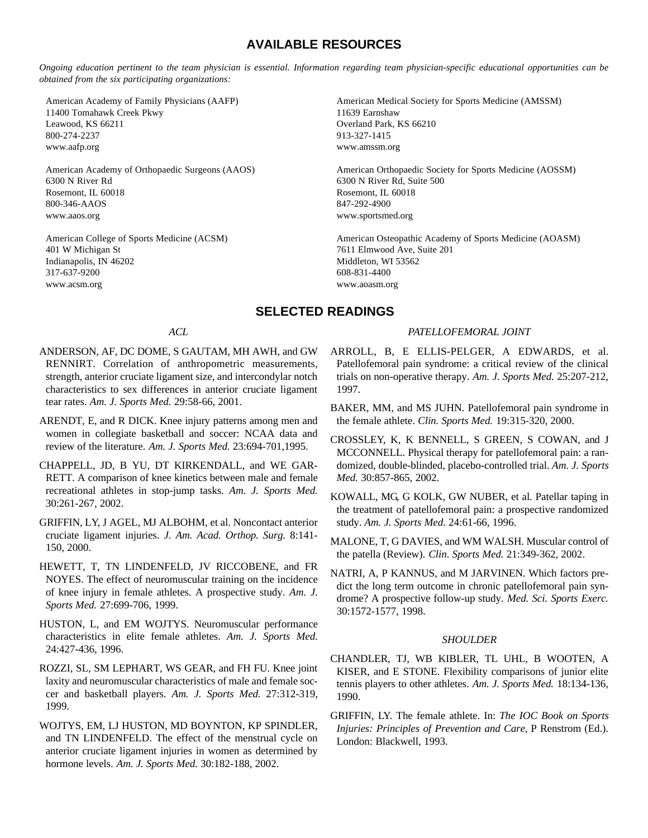### **AVAILABLE RESOURCES**

*Ongoing education pertinent to the team physician is essential. Information regarding team physician-specific educational opportunities can be obtained from the six participating organizations:*

American Academy of Family Physicians (AAFP) 11400 Tomahawk Creek Pkwy Leawood, KS 66211 800-274-2237 www.aafp.org

American Academy of Orthopaedic Surgeons (AAOS) 6300 N River Rd Rosemont, IL 60018 800-346-AAOS www.aaos.org

American College of Sports Medicine (ACSM) 401 W Michigan St Indianapolis, IN 46202 317-637-9200 www.acsm.org

American Medical Society for Sports Medicine (AMSSM) 11639 Earnshaw Overland Park, KS 66210 913-327-1415 www.amssm.org

American Orthopaedic Society for Sports Medicine (AOSSM) 6300 N River Rd, Suite 500 Rosemont, IL 60018 847-292-4900 www.sportsmed.org

American Osteopathic Academy of Sports Medicine (AOASM) 7611 Elmwood Ave, Suite 201 Middleton, WI 53562 608-831-4400 www.aoasm.org

### **SELECTED READINGS**

#### *ACL*

- ANDERSON, AF, DC DOME, S GAUTAM, MH AWH, and GW RENNIRT. Correlation of anthropometric measurements, strength, anterior cruciate ligament size, and intercondylar notch characteristics to sex differences in anterior cruciate ligament tear rates. *Am. J. Sports Med.* 29:58-66, 2001.
- ARENDT, E, and R DICK. Knee injury patterns among men and women in collegiate basketball and soccer: NCAA data and review of the literature. *Am. J. Sports Med.* 23:694-701,1995.
- CHAPPELL, JD, B YU, DT KIRKENDALL, and WE GAR-RETT. A comparison of knee kinetics between male and female recreational athletes in stop-jump tasks. *Am. J. Sports Med.* 30:261-267, 2002.
- GRIFFIN, LY, J AGEL, MJ ALBOHM, et al. Noncontact anterior cruciate ligament injuries. *J. Am. Acad. Orthop. Surg.* 8:141- 150, 2000.
- HEWETT, T, TN LINDENFELD, JV RICCOBENE, and FR NOYES. The effect of neuromuscular training on the incidence of knee injury in female athletes. A prospective study. *Am. J. Sports Med.* 27:699-706, 1999.
- HUSTON, L, and EM WOJTYS. Neuromuscular performance characteristics in elite female athletes. *Am. J. Sports Med.* 24:427-436, 1996.
- ROZZI, SL, SM LEPHART, WS GEAR, and FH FU. Knee joint laxity and neuromuscular characteristics of male and female soccer and basketball players. *Am. J. Sports Med.* 27:312-319, 1999.
- WOJTYS, EM, LJ HUSTON, MD BOYNTON, KP SPINDLER, and TN LINDENFELD. The effect of the menstrual cycle on anterior cruciate ligament injuries in women as determined by hormone levels. *Am. J. Sports Med.* 30:182-188, 2002.

#### *PATELLOFEMORAL JOINT*

- ARROLL, B, E ELLIS-PELGER, A EDWARDS, et al. Patellofemoral pain syndrome: a critical review of the clinical trials on non-operative therapy. *Am. J. Sports Med.* 25:207-212, 1997.
- BAKER, MM, and MS JUHN. Patellofemoral pain syndrome in the female athlete. *Clin. Sports Med.* 19:315-320, 2000.
- CROSSLEY, K, K BENNELL, S GREEN, S COWAN, and J MCCONNELL. Physical therapy for patellofemoral pain: a randomized, double-blinded, placebo-controlled trial. *Am. J. Sports Med.* 30:857-865, 2002.
- KOWALL, MG, G KOLK, GW NUBER, et al. Patellar taping in the treatment of patellofemoral pain: a prospective randomized study. *Am. J. Sports Med.* 24:61-66, 1996.
- MALONE, T, G DAVIES, and WM WALSH. Muscular control of the patella (Review). *Clin. Sports Med.* 21:349-362, 2002.
- NATRI, A, P KANNUS, and M JARVINEN. Which factors predict the long term outcome in chronic patellofemoral pain syndrome? A prospective follow-up study. *Med. Sci. Sports Exerc.* 30:1572-1577, 1998.

#### *SHOULDER*

- CHANDLER, TJ, WB KIBLER, TL UHL, B WOOTEN, A KISER, and E STONE. Flexibility comparisons of junior elite tennis players to other athletes. *Am. J. Sports Med.* 18:134-136, 1990.
- GRIFFIN, LY. The female athlete. In: *The IOC Book on Sports Injuries: Principles of Prevention and Care,* P Renstrom (Ed.). London: Blackwell, 1993.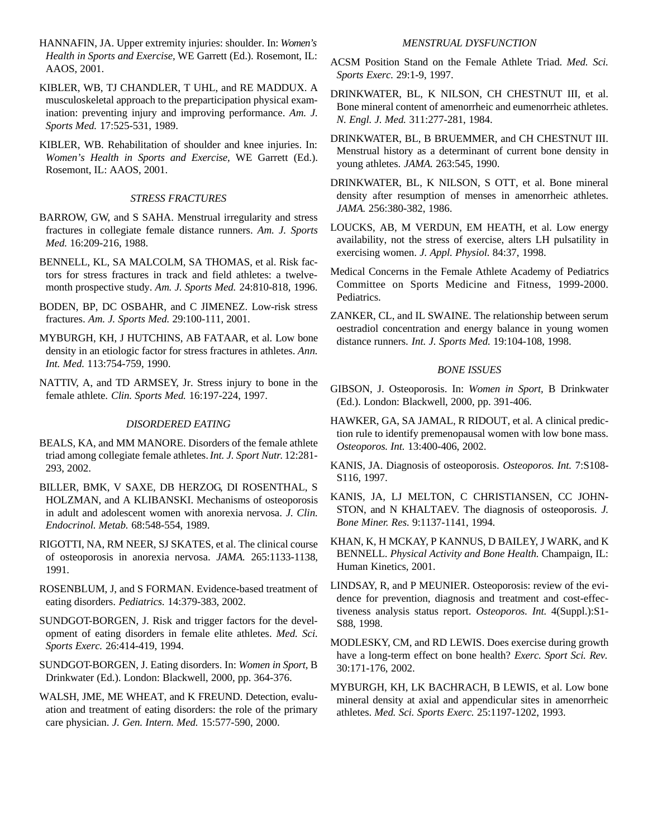- HANNAFIN, JA. Upper extremity injuries: shoulder. In: *Women's Health in Sports and Exercise,* WE Garrett (Ed.). Rosemont, IL: AAOS, 2001.
- KIBLER, WB, TJ CHANDLER, T UHL, and RE MADDUX. A musculoskeletal approach to the preparticipation physical examination: preventing injury and improving performance. *Am. J. Sports Med.* 17:525-531, 1989.
- KIBLER, WB. Rehabilitation of shoulder and knee injuries. In: *Women's Health in Sports and Exercise,* WE Garrett (Ed.). Rosemont, IL: AAOS, 2001.

#### *STRESS FRACTURES*

- BARROW, GW, and S SAHA. Menstrual irregularity and stress fractures in collegiate female distance runners. *Am. J. Sports Med.* 16:209-216, 1988.
- BENNELL, KL, SA MALCOLM, SA THOMAS, et al. Risk factors for stress fractures in track and field athletes: a twelvemonth prospective study. *Am. J. Sports Med.* 24:810-818, 1996.
- BODEN, BP, DC OSBAHR, and C JIMENEZ. Low-risk stress fractures. *Am. J. Sports Med.* 29:100-111, 2001.
- MYBURGH, KH, J HUTCHINS, AB FATAAR, et al. Low bone density in an etiologic factor for stress fractures in athletes. *Ann. Int. Med.* 113:754-759, 1990.
- NATTIV, A, and TD ARMSEY, Jr. Stress injury to bone in the female athlete. *Clin. Sports Med.* 16:197-224, 1997.

#### *DISORDERED EATING*

- BEALS, KA, and MM MANORE. Disorders of the female athlete triad among collegiate female athletes. *Int. J. Sport Nutr.* 12:281- 293, 2002.
- BILLER, BMK, V SAXE, DB HERZOG, DI ROSENTHAL, S HOLZMAN, and A KLIBANSKI. Mechanisms of osteoporosis in adult and adolescent women with anorexia nervosa. *J. Clin. Endocrinol. Metab.* 68:548-554, 1989.
- RIGOTTI, NA, RM NEER, SJ SKATES, et al. The clinical course of osteoporosis in anorexia nervosa. *JAMA.* 265:1133-1138, 1991.
- ROSENBLUM, J, and S FORMAN. Evidence-based treatment of eating disorders. *Pediatrics.* 14:379-383, 2002.
- SUNDGOT-BORGEN, J. Risk and trigger factors for the development of eating disorders in female elite athletes. *Med. Sci. Sports Exerc.* 26:414-419, 1994.
- SUNDGOT-BORGEN, J. Eating disorders. In: *Women in Sport,* B Drinkwater (Ed.). London: Blackwell, 2000, pp. 364-376.
- WALSH, JME, ME WHEAT, and K FREUND. Detection, evaluation and treatment of eating disorders: the role of the primary care physician. *J. Gen. Intern. Med.* 15:577-590, 2000.

#### *MENSTRUAL DYSFUNCTION*

- ACSM Position Stand on the Female Athlete Triad. *Med. Sci. Sports Exerc.* 29:1-9, 1997.
- DRINKWATER, BL, K NILSON, CH CHESTNUT III, et al. Bone mineral content of amenorrheic and eumenorrheic athletes. *N. Engl. J. Med.* 311:277-281, 1984.
- DRINKWATER, BL, B BRUEMMER, and CH CHESTNUT III. Menstrual history as a determinant of current bone density in young athletes. *JAMA.* 263:545, 1990.
- DRINKWATER, BL, K NILSON, S OTT, et al. Bone mineral density after resumption of menses in amenorrheic athletes. *JAMA.* 256:380-382, 1986.
- LOUCKS, AB, M VERDUN, EM HEATH, et al. Low energy availability, not the stress of exercise, alters LH pulsatility in exercising women. *J. Appl. Physiol.* 84:37, 1998.
- Medical Concerns in the Female Athlete Academy of Pediatrics Committee on Sports Medicine and Fitness, 1999-2000. Pediatrics.
- ZANKER, CL, and IL SWAINE. The relationship between serum oestradiol concentration and energy balance in young women distance runners. *Int. J. Sports Med.* 19:104-108, 1998.

#### *BONE ISSUES*

- GIBSON, J. Osteoporosis. In: *Women in Sport,* B Drinkwater (Ed.). London: Blackwell, 2000, pp. 391-406.
- HAWKER, GA, SA JAMAL, R RIDOUT, et al. A clinical prediction rule to identify premenopausal women with low bone mass. *Osteoporos. Int.* 13:400-406, 2002.
- KANIS, JA. Diagnosis of osteoporosis. *Osteoporos. Int.* 7:S108- S116, 1997.
- KANIS, JA, LJ MELTON, C CHRISTIANSEN, CC JOHN-STON, and N KHALTAEV. The diagnosis of osteoporosis. *J. Bone Miner. Res.* 9:1137-1141, 1994.
- KHAN, K, H MCKAY, P KANNUS, D BAILEY, J WARK, and K BENNELL. *Physical Activity and Bone Health.* Champaign, IL: Human Kinetics, 2001.
- LINDSAY, R, and P MEUNIER. Osteoporosis: review of the evidence for prevention, diagnosis and treatment and cost-effectiveness analysis status report. *Osteoporos. Int.* 4(Suppl.):S1- S88, 1998.
- MODLESKY, CM, and RD LEWIS. Does exercise during growth have a long-term effect on bone health? *Exerc. Sport Sci. Rev.* 30:171-176, 2002.
- MYBURGH, KH, LK BACHRACH, B LEWIS, et al. Low bone mineral density at axial and appendicular sites in amenorrheic athletes. *Med. Sci. Sports Exerc.* 25:1197-1202, 1993.